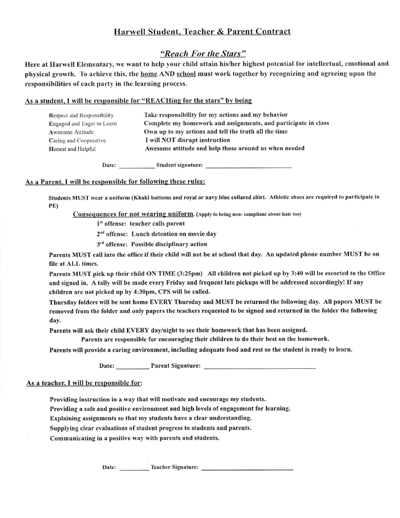# Harwell Student, Teacher & Parent Contract

### "Reach For the Stars"

Here at Harwell Elementary, we want to help your child attain his/her highest potential for intellectual, emotional and physical growth. To achieve this, the home AND school must work together by recognizing and agreeing upon the responsibilities of each party in the learning process.

### As a student, I will be responsible for "REACHing for the stars" by being

| <b>Respect and Responsibility</b> | Take responsibility for my actions and my behavior             |
|-----------------------------------|----------------------------------------------------------------|
| Engaged and Eager to Learn        | Complete my homework and assignments, and participate in class |
| Awesome Attitude                  | Own up to my actions and tell the truth all the time           |
| Caring and Cooperative            | I will NOT disrupt instruction                                 |
| Honest and Helpful                | Awesome attitude and help those around us when needed          |
|                                   |                                                                |

### As a Parent. I will be responsible for following these rules:

Students MUST wear a uniform (Khaki bottoms and royal or navy blue collared shirt. Athletic shoes are required to participate in PE)

Consequences for not wearing uniform. (Apply to being non-compliant about hair too)

1st offense: teacher calls parent

2<sup>nd</sup> offense: Lunch detention on movie day

3<sup>rd</sup> offense: Possible disciplinary action

Parents MUST call into the office if their child will not be at school that day. An updated phone number MUST be on file at ALL times.

Parents MUST pick up their child ON TIME (3:25pm) All children not picked up by 3:40 will be escorted to the Office and signed in. A tally will be made every Friday and frequent late pickups will be addressed accordingly! If any children are not picked up by 4:30pm, CPS will be called.

Thursday folders will be sent home EVERY Thursday and MUST be returned the following day. All papers MUST be removed from the folder and only papers the teachers requested to be signed and returned in the folder the following day.

Parents will ask their child EVERY day/night to see their homework that has been assigned.

Parents are responsible for encouraging their children to do their best on the homework.

Parents will provide a caring environment, including adequate food and rest so the student is ready to learn.

Date: Parent Signature:

### As a teacher, I will be responsible for:

Providing instruction in a way that will motivate and encourage my students.

Providing a safe and positive environment and high levels of engagement for learning.

Explaining assignments so that my students have a clear understanding.

Supplying clear evaluations of student progress to students and parents.

Communicating in a positive way with parents and students.

Date: Teacher Signature: